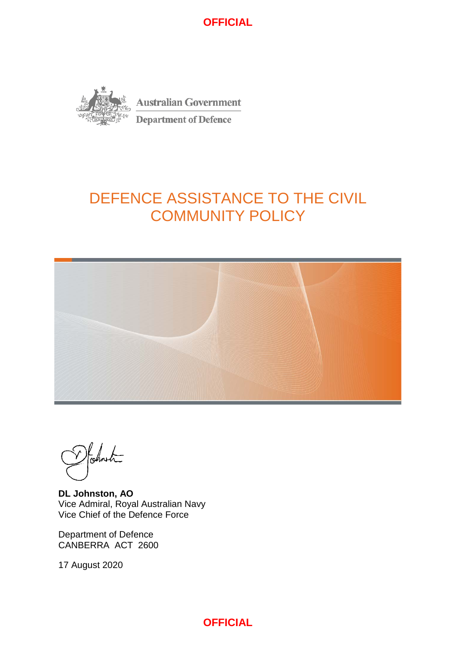

# DEFENCE ASSISTANCE TO THE CIVIL COMMUNITY POLICY



Formet

**DL Johnston, AO** Vice Admiral, Royal Australian Navy Vice Chief of the Defence Force

Department of Defence CANBERRA ACT 2600

17 August 2020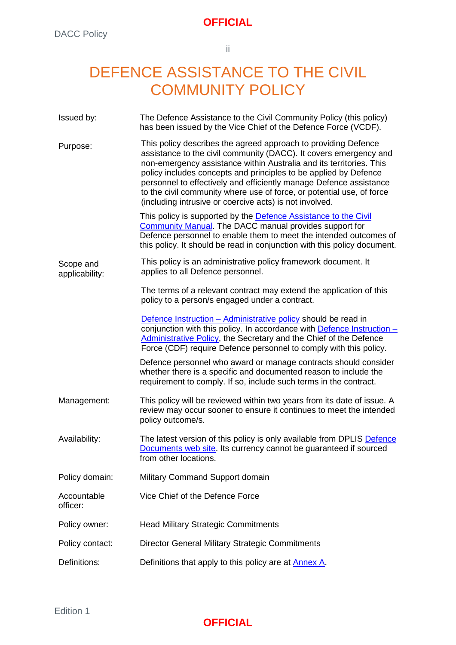ii

# DEFENCE ASSISTANCE TO THE CIVIL COMMUNITY POLICY

| Issued by:                  | The Defence Assistance to the Civil Community Policy (this policy)<br>has been issued by the Vice Chief of the Defence Force (VCDF).                                                                                                                                                                                                                                                                                                                                                     |
|-----------------------------|------------------------------------------------------------------------------------------------------------------------------------------------------------------------------------------------------------------------------------------------------------------------------------------------------------------------------------------------------------------------------------------------------------------------------------------------------------------------------------------|
| Purpose:                    | This policy describes the agreed approach to providing Defence<br>assistance to the civil community (DACC). It covers emergency and<br>non-emergency assistance within Australia and its territories. This<br>policy includes concepts and principles to be applied by Defence<br>personnel to effectively and efficiently manage Defence assistance<br>to the civil community where use of force, or potential use, of force<br>(including intrusive or coercive acts) is not involved. |
|                             | This policy is supported by the Defence Assistance to the Civil<br><b>Community Manual.</b> The DACC manual provides support for<br>Defence personnel to enable them to meet the intended outcomes of<br>this policy. It should be read in conjunction with this policy document.                                                                                                                                                                                                        |
| Scope and<br>applicability: | This policy is an administrative policy framework document. It<br>applies to all Defence personnel.                                                                                                                                                                                                                                                                                                                                                                                      |
|                             | The terms of a relevant contract may extend the application of this<br>policy to a person/s engaged under a contract.                                                                                                                                                                                                                                                                                                                                                                    |
|                             | Defence Instruction - Administrative policy should be read in<br>conjunction with this policy. In accordance with <b>Defence Instruction</b> $-$<br>Administrative Policy, the Secretary and the Chief of the Defence<br>Force (CDF) require Defence personnel to comply with this policy.                                                                                                                                                                                               |
|                             | Defence personnel who award or manage contracts should consider<br>whether there is a specific and documented reason to include the<br>requirement to comply. If so, include such terms in the contract.                                                                                                                                                                                                                                                                                 |
| Management:                 | This policy will be reviewed within two years from its date of issue. A<br>review may occur sooner to ensure it continues to meet the intended<br>policy outcome/s.                                                                                                                                                                                                                                                                                                                      |
| Availability:               | The latest version of this policy is only available from DPLIS Defence<br>Documents web site. Its currency cannot be guaranteed if sourced<br>from other locations.                                                                                                                                                                                                                                                                                                                      |
| Policy domain:              | Military Command Support domain                                                                                                                                                                                                                                                                                                                                                                                                                                                          |
| Accountable<br>officer:     | Vice Chief of the Defence Force                                                                                                                                                                                                                                                                                                                                                                                                                                                          |
| Policy owner:               | <b>Head Military Strategic Commitments</b>                                                                                                                                                                                                                                                                                                                                                                                                                                               |
| Policy contact:             | Director General Military Strategic Commitments                                                                                                                                                                                                                                                                                                                                                                                                                                          |
| Definitions:                | Definitions that apply to this policy are at <b>Annex A</b> .                                                                                                                                                                                                                                                                                                                                                                                                                            |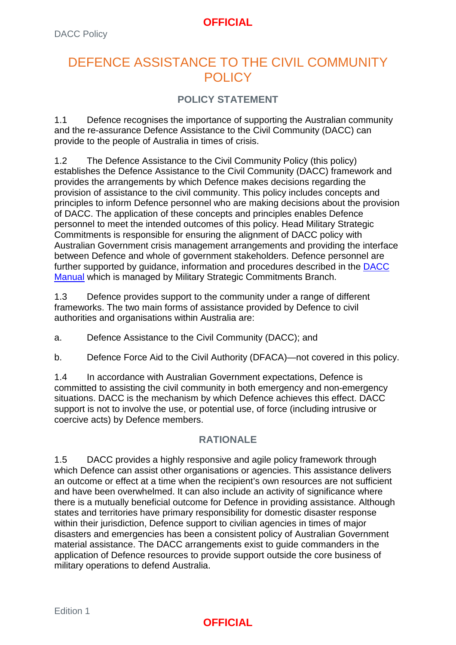# DEFENCE ASSISTANCE TO THE CIVIL COMMUNITY POLICY

## **POLICY STATEMENT**

1.1 Defence recognises the importance of supporting the Australian community and the re-assurance Defence Assistance to the Civil Community (DACC) can provide to the people of Australia in times of crisis.

1.2 The Defence Assistance to the Civil Community Policy (this policy) establishes the Defence Assistance to the Civil Community (DACC) framework and provides the arrangements by which Defence makes decisions regarding the provision of assistance to the civil community. This policy includes concepts and principles to inform Defence personnel who are making decisions about the provision of DACC. The application of these concepts and principles enables Defence personnel to meet the intended outcomes of this policy. Head Military Strategic Commitments is responsible for ensuring the alignment of DACC policy with Australian Government crisis management arrangements and providing the interface between Defence and whole of government stakeholders. Defence personnel are further supported by guidance, information and procedures described in the **DACC** [Manual](https://objective/id:BN20376121) which is managed by Military Strategic Commitments Branch.

1.3 Defence provides support to the community under a range of different frameworks. The two main forms of assistance provided by Defence to civil authorities and organisations within Australia are:

a. Defence Assistance to the Civil Community (DACC); and

b. Defence Force Aid to the Civil Authority (DFACA)—not covered in this policy.

1.4 In accordance with Australian Government expectations, Defence is committed to assisting the civil community in both emergency and non-emergency situations. DACC is the mechanism by which Defence achieves this effect. DACC support is not to involve the use, or potential use, of force (including intrusive or coercive acts) by Defence members.

# **RATIONALE**

1.5 DACC provides a highly responsive and agile policy framework through which Defence can assist other organisations or agencies. This assistance delivers an outcome or effect at a time when the recipient's own resources are not sufficient and have been overwhelmed. It can also include an activity of significance where there is a mutually beneficial outcome for Defence in providing assistance. Although states and territories have primary responsibility for domestic disaster response within their jurisdiction, Defence support to civilian agencies in times of major disasters and emergencies has been a consistent policy of Australian Government material assistance. The DACC arrangements exist to guide commanders in the application of Defence resources to provide support outside the core business of military operations to defend Australia.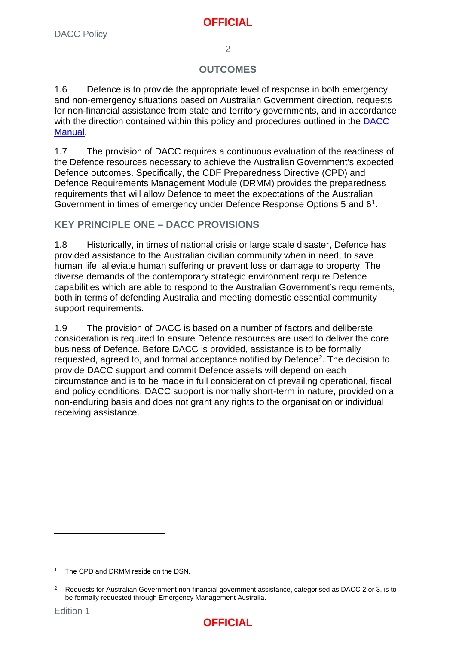$\overline{2}$ 

#### **OUTCOMES**

1.6 Defence is to provide the appropriate level of response in both emergency and non-emergency situations based on Australian Government direction, requests for non-financial assistance from state and territory governments, and in accordance with the direction contained within this policy and procedures outlined in the DACC [Manual.](https://objective/id:BN20376121)

1.7 The provision of DACC requires a continuous evaluation of the readiness of the Defence resources necessary to achieve the Australian Government's expected Defence outcomes. Specifically, the CDF Preparedness Directive (CPD) and Defence Requirements Management Module (DRMM) provides the preparedness requirements that will allow Defence to meet the expectations of the Australian Government in times of emergency under Defence Response Options 5 and 6[1](#page-3-0).

## **KEY PRINCIPLE ONE – DACC PROVISIONS**

1.8 Historically, in times of national crisis or large scale disaster, Defence has provided assistance to the Australian civilian community when in need, to save human life, alleviate human suffering or prevent loss or damage to property. The diverse demands of the contemporary strategic environment require Defence capabilities which are able to respond to the Australian Government's requirements, both in terms of defending Australia and meeting domestic essential community support requirements.

1.9 The provision of DACC is based on a number of factors and deliberate consideration is required to ensure Defence resources are used to deliver the core business of Defence. Before DACC is provided, assistance is to be formally requested, agreed to, and formal acceptance notified by Defence<sup>2</sup>. The decision to provide DACC support and commit Defence assets will depend on each circumstance and is to be made in full consideration of prevailing operational, fiscal and policy conditions. DACC support is normally short-term in nature, provided on a non-enduring basis and does not grant any rights to the organisation or individual receiving assistance.



<span id="page-3-0"></span>The CPD and DRMM reside on the DSN.

<span id="page-3-1"></span><sup>2</sup> Requests for Australian Government non-financial government assistance, categorised as DACC 2 or 3, is to be formally requested through Emergency Management Australia.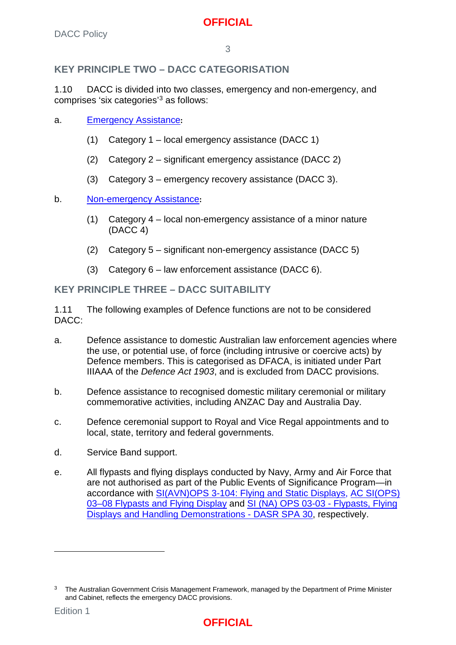## **KEY PRINCIPLE TWO – DACC CATEGORISATION**

1.10 DACC is divided into two classes, emergency and non-emergency, and comprises 'six categories'[3](#page-4-0) as follows:

- a. Emergency Assistance**:**
	- (1) Category 1 local emergency assistance (DACC 1)
	- (2) Category 2 significant emergency assistance (DACC 2)
	- (3) Category 3 emergency recovery assistance (DACC 3).
- b. [Non-emergency Assistance](#page-11-1)**:**
	- (1) Category 4 local non-emergency assistance of a minor nature (DACC 4)
	- (2) Category 5 significant non-emergency assistance (DACC 5)
	- (3) Category 6 law enforcement assistance (DACC 6).

#### **KEY PRINCIPLE THREE – DACC SUITABILITY**

1.11 The following examples of Defence functions are not to be considered DACC:

- a. Defence assistance to domestic Australian law enforcement agencies where the use, or potential use, of force (including intrusive or coercive acts) by Defence members. This is categorised as DFACA, is initiated under Part IIIAAA of the *Defence Act 1903*, and is excluded from DACC provisions.
- b. Defence assistance to recognised domestic military ceremonial or military commemorative activities, including ANZAC Day and Australia Day.
- c. Defence ceremonial support to Royal and Vice Regal appointments and to local, state, territory and federal governments.
- d. Service Band support.
- e. All flypasts and flying displays conducted by Navy, Army and Air Force that are not authorised as part of the Public Events of Significance Program—in accordance with SI(AVN)OPS 3-104: Flying and Static Displays, AC [SI\(OPS\)](https://drms-glenbrook/id:AC1688119/document/versions/published)  [03–08 Flypasts and Flying Display](https://drms-glenbrook/id:AC1688119/document/versions/published) and [SI \(NA\) OPS 03-03 -](https://objective/id:E7695902/document/versions/published) Flypasts, Flying [Displays and Handling Demonstrations -](https://objective/id:E7695902/document/versions/published) DASR SPA 30, respectively.

-

<span id="page-4-0"></span><sup>3</sup> The Australian Government Crisis Management Framework, managed by the Department of Prime Minister and Cabinet, reflects the emergency DACC provisions.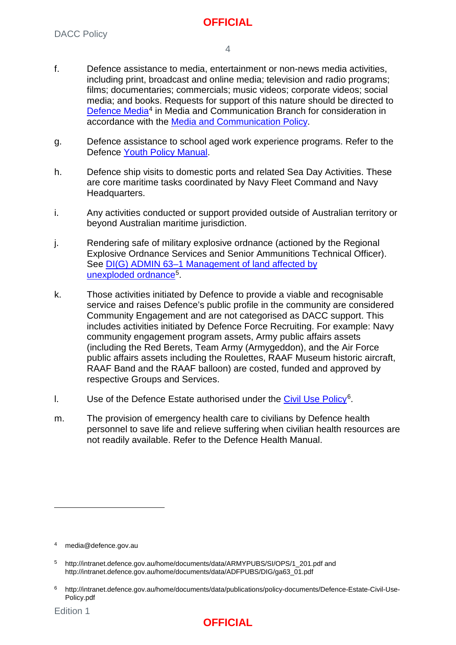- f. Defence assistance to media, entertainment or non-news media activities, including print, broadcast and online media; television and radio programs; films; documentaries; commercials; music videos; corporate videos; social media; and books. Requests for support of this nature should be directed to [Defence Media](mailto:media@defence.gov.au)<sup>[4](#page-5-0)</sup> in Media and Communication Branch for consideration in accordance with the [Media and Communication Policy.](http://intranet.defence.gov.au/home/documents/data/DEFPUBS/DEPTMAN/MC/Media_and_Communication.pdf)
- g. Defence assistance to school aged work experience programs. Refer to the Defence [Youth Policy Manual.](https://www.defenceyouth.gov.au/youth-safety/youth-policy-manual-youthpolman/)
- h. Defence ship visits to domestic ports and related Sea Day Activities. These are core maritime tasks coordinated by Navy Fleet Command and Navy Headquarters.
- i. Any activities conducted or support provided outside of Australian territory or beyond Australian maritime jurisdiction.
- j. Rendering safe of military explosive ordnance (actioned by the Regional Explosive Ordnance Services and Senior Ammunitions Technical Officer). See [DI\(G\) ADMIN 63–1 Management of land affected by](http://intranet.defence.gov.au/home/documents/data/ADFPUBS/DIG/ga63_01.pdf)  [unexploded](http://intranet.defence.gov.au/home/documents/data/ADFPUBS/DIG/ga63_01.pdf) ordnance<sup>5</sup>.
- k. Those activities initiated by Defence to provide a viable and recognisable service and raises Defence's public profile in the community are considered Community Engagement and are not categorised as DACC support. This includes activities initiated by Defence Force Recruiting. For example: Navy community engagement program assets, Army public affairs assets (including the Red Berets, Team Army (Armygeddon), and the Air Force public affairs assets including the Roulettes, RAAF Museum historic aircraft, RAAF Band and the RAAF balloon) are costed, funded and approved by respective Groups and Services.
- I. Use of the Defence Estate authorised under the Civil Use  $Policy<sup>6</sup>$  $Policy<sup>6</sup>$  $Policy<sup>6</sup>$ .
- m. The provision of emergency health care to civilians by Defence health personnel to save life and relieve suffering when civilian health resources are not readily available. Refer to the Defence Health Manual.



<span id="page-5-0"></span>media@defence.gov.au

<span id="page-5-1"></span><sup>5</sup> [http://intranet.defence.gov.au/home/documents/data/ARMYPUBS/SI/OPS/1\\_201.pdf](http://intranet.defence.gov.au/home/documents/data/ARMYPUBS/SI/OPS/1_201.pdf) and [http://intranet.defence.gov.au/home/documents/data/ADFPUBS/DIG/ga63\\_01.pdf](http://intranet.defence.gov.au/home/documents/data/ADFPUBS/DIG/ga63_01.pdf)

<span id="page-5-2"></span><sup>6</sup> [http://intranet.defence.gov.au/home/documents/data/publications/policy-documents/Defence-Estate-Civil-Use-](http://intranet.defence.gov.au/home/documents/data/publications/policy-documents/Defence-Estate-Civil-Use-Policy.pdf)[Policy.pdf](http://intranet.defence.gov.au/home/documents/data/publications/policy-documents/Defence-Estate-Civil-Use-Policy.pdf)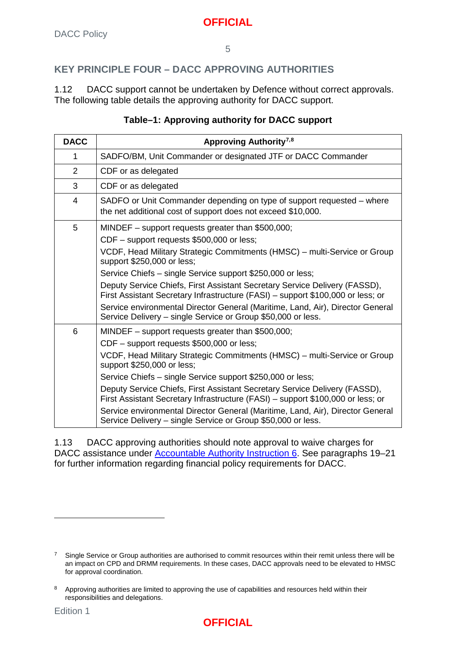#### 5

# **KEY PRINCIPLE FOUR – DACC APPROVING AUTHORITIES**

1.12 DACC support cannot be undertaken by Defence without correct approvals. The following table details the approving authority for DACC support.

#### **Table–1: Approving authority for DACC support**

| <b>DACC</b>    | Approving Authority <sup>7,8</sup>                                                                                                                            |
|----------------|---------------------------------------------------------------------------------------------------------------------------------------------------------------|
| 1              | SADFO/BM, Unit Commander or designated JTF or DACC Commander                                                                                                  |
| $\overline{2}$ | CDF or as delegated                                                                                                                                           |
| 3              | CDF or as delegated                                                                                                                                           |
| 4              | SADFO or Unit Commander depending on type of support requested - where<br>the net additional cost of support does not exceed \$10,000.                        |
| 5              | MINDEF - support requests greater than \$500,000;                                                                                                             |
|                | CDF - support requests \$500,000 or less;                                                                                                                     |
|                | VCDF, Head Military Strategic Commitments (HMSC) – multi-Service or Group<br>support \$250,000 or less;                                                       |
|                | Service Chiefs - single Service support \$250,000 or less;                                                                                                    |
|                | Deputy Service Chiefs, First Assistant Secretary Service Delivery (FASSD),<br>First Assistant Secretary Infrastructure (FASI) - support \$100,000 or less; or |
|                | Service environmental Director General (Maritime, Land, Air), Director General<br>Service Delivery - single Service or Group \$50,000 or less.                |
| 6              | MINDEF - support requests greater than \$500,000;                                                                                                             |
|                | CDF - support requests \$500,000 or less;                                                                                                                     |
|                | VCDF, Head Military Strategic Commitments (HMSC) - multi-Service or Group<br>support \$250,000 or less;                                                       |
|                | Service Chiefs – single Service support \$250,000 or less;                                                                                                    |
|                | Deputy Service Chiefs, First Assistant Secretary Service Delivery (FASSD),<br>First Assistant Secretary Infrastructure (FASI) - support \$100,000 or less; or |
|                | Service environmental Director General (Maritime, Land, Air), Director General<br>Service Delivery - single Service or Group \$50,000 or less.                |

1.13 DACC approving authorities should note approval to waive charges for DACC assistance under [Accountable Authority Instruction 6.](https://objective/id:AB23048099) See paragraphs 19–21 for further information regarding financial policy requirements for DACC.



<span id="page-6-0"></span> $7$  Single Service or Group authorities are authorised to commit resources within their remit unless there will be an impact on CPD and DRMM requirements. In these cases, DACC approvals need to be elevated to HMSC for approval coordination.

<span id="page-6-1"></span>Approving authorities are limited to approving the use of capabilities and resources held within their responsibilities and delegations.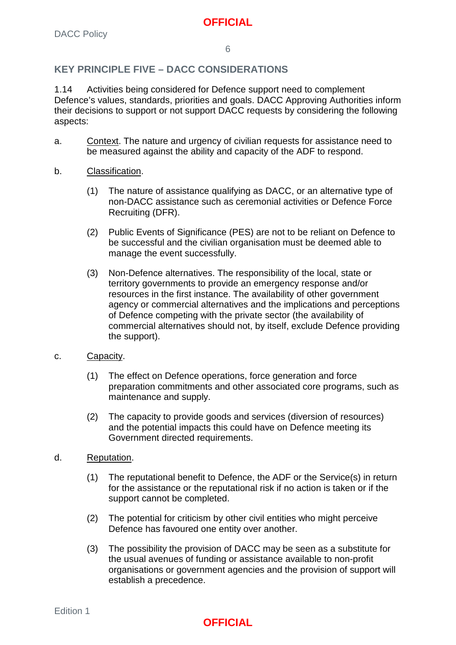#### **KEY PRINCIPLE FIVE – DACC CONSIDERATIONS**

1.14 Activities being considered for Defence support need to complement Defence's values, standards, priorities and goals. DACC Approving Authorities inform their decisions to support or not support DACC requests by considering the following aspects:

- a. Context. The nature and urgency of civilian requests for assistance need to be measured against the ability and capacity of the ADF to respond.
- b. Classification.
	- (1) The nature of assistance qualifying as DACC, or an alternative type of non-DACC assistance such as ceremonial activities or Defence Force Recruiting (DFR).
	- (2) Public Events of Significance (PES) are not to be reliant on Defence to be successful and the civilian organisation must be deemed able to manage the event successfully.
	- (3) Non-Defence alternatives. The responsibility of the local, state or territory governments to provide an emergency response and/or resources in the first instance. The availability of other government agency or commercial alternatives and the implications and perceptions of Defence competing with the private sector (the availability of commercial alternatives should not, by itself, exclude Defence providing the support).
- c. Capacity.
	- (1) The effect on Defence operations, force generation and force preparation commitments and other associated core programs, such as maintenance and supply.
	- (2) The capacity to provide goods and services (diversion of resources) and the potential impacts this could have on Defence meeting its Government directed requirements.
- d. Reputation.
	- (1) The reputational benefit to Defence, the ADF or the Service(s) in return for the assistance or the reputational risk if no action is taken or if the support cannot be completed.
	- (2) The potential for criticism by other civil entities who might perceive Defence has favoured one entity over another.
	- (3) The possibility the provision of DACC may be seen as a substitute for the usual avenues of funding or assistance available to non-profit organisations or government agencies and the provision of support will establish a precedence.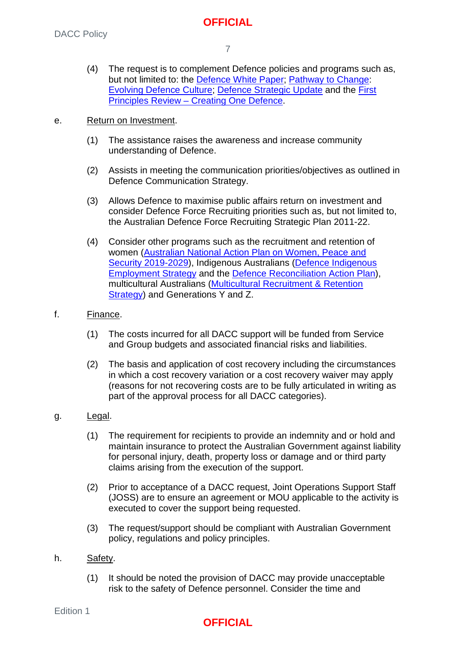(4) The request is to complement Defence policies and programs such as, but not limited to: the [Defence White Paper;](http://drnet/strategy/OFASSP/AboutUs/Pages/Publications.aspx) [Pathway to Change:](http://drnet/People/Culture/Pages/Pathway-to-Change.aspx) [Evolving Defence Culture;](http://drnet/People/AboutDPG/Pages/People-Policy-and-Culture-Division.aspx) [Defence Strategic Update](https://www.defence.gov.au/StrategicUpdate-2020/) and the [First](http://drnet/AssociateSecretary/first-principles/Pages/default.aspx)  Principles Review – [Creating One Defence.](http://drnet/AssociateSecretary/first-principles/Pages/default.aspx)

#### e. Return on Investment.

- (1) The assistance raises the awareness and increase community understanding of Defence.
- (2) Assists in meeting the communication priorities/objectives as outlined in Defence Communication Strategy.
- (3) Allows Defence to maximise public affairs return on investment and consider Defence Force Recruiting priorities such as, but not limited to, the Australian Defence Force Recruiting Strategic Plan 2011-22.
- (4) Consider other programs such as the recruitment and retention of women [\(Australian National Action Plan on Women, Peace and](https://www.pmc.gov.au/office-women/international-forums/australian-national-action-plan-women-peace-and-security-2012-2018)  [Security 2019-2029\)](https://www.pmc.gov.au/office-women/international-forums/australian-national-action-plan-women-peace-and-security-2012-2018), Indigenous Australians (Defence Indigenous [Employment Strategy](http://drnet/raaf/DWD/IndigenousEngagement/Pages/Resources-and-Publications.aspx) and the [Defence Reconciliation Action Plan\)](http://drnet/People/Diversity/Indigenous-Affairs/Pages/Defence-Reconciliation-Action-Plan.aspx), multicultural Australians [\(Multicultural Recruitment & Retention](http://drnet/People/DFR/Recruiting-Initiatives/Pages/Recruiting-Initiatives.aspx)  [Strategy\)](http://drnet/People/DFR/Recruiting-Initiatives/Pages/Recruiting-Initiatives.aspx) and Generations Y and Z.

#### f. Finance.

- (1) The costs incurred for all DACC support will be funded from Service and Group budgets and associated financial risks and liabilities.
- (2) The basis and application of cost recovery including the circumstances in which a cost recovery variation or a cost recovery waiver may apply (reasons for not recovering costs are to be fully articulated in writing as part of the approval process for all DACC categories).

#### g. Legal.

- (1) The requirement for recipients to provide an indemnity and or hold and maintain insurance to protect the Australian Government against liability for personal injury, death, property loss or damage and or third party claims arising from the execution of the support.
- (2) Prior to acceptance of a DACC request, Joint Operations Support Staff (JOSS) are to ensure an agreement or MOU applicable to the activity is executed to cover the support being requested.
- (3) The request/support should be compliant with Australian Government policy, regulations and policy principles.
- h. Safety.
	- (1) It should be noted the provision of DACC may provide unacceptable risk to the safety of Defence personnel. Consider the time and

Edition 1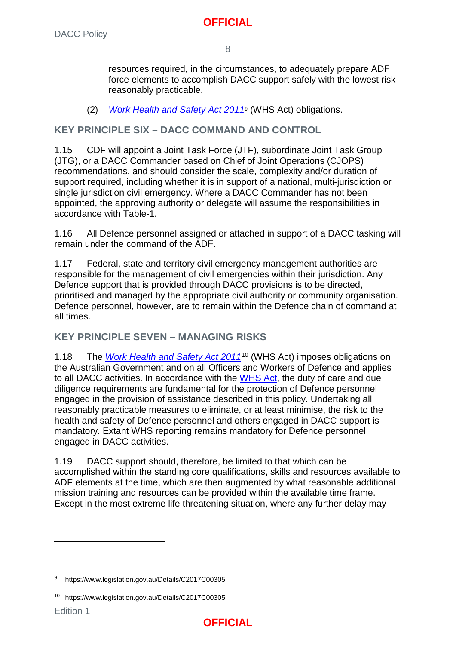resources required, in the circumstances, to adequately prepare ADF force elements to accomplish DACC support safely with the lowest risk reasonably practicable.

(2) *Work [Health](https://www.legislation.gov.au/Details/C2017C00305) and Safety Act 2011*[9](#page-9-0) (WHS Act) obligations.

## **KEY PRINCIPLE SIX – DACC COMMAND AND CONTROL**

1.15 CDF will appoint a Joint Task Force (JTF), subordinate Joint Task Group (JTG), or a DACC Commander based on Chief of Joint Operations (CJOPS) recommendations, and should consider the scale, complexity and/or duration of support required, including whether it is in support of a national, multi-jurisdiction or single jurisdiction civil emergency. Where a DACC Commander has not been appointed, the approving authority or delegate will assume the responsibilities in accordance with Table-1.

1.16 All Defence personnel assigned or attached in support of a DACC tasking will remain under the command of the ADF.

1.17 Federal, state and territory civil emergency management authorities are responsible for the management of civil emergencies within their jurisdiction. Any Defence support that is provided through DACC provisions is to be directed, prioritised and managed by the appropriate civil authority or community organisation. Defence personnel, however, are to remain within the Defence chain of command at all times.

## **KEY PRINCIPLE SEVEN – MANAGING RISKS**

1.18 The *Work [Health](https://www.legislation.gov.au/Details/C2017C00305) and Safety Act 2011*[10](#page-9-1) (WHS Act) imposes obligations on the Australian Government and on all Officers and Workers of Defence and applies to all DACC activities. In accordance with the [WHS](https://www.legislation.gov.au/Details/C2017C00305) Act, the duty of care and due diligence requirements are fundamental for the protection of Defence personnel engaged in the provision of assistance described in this policy. Undertaking all reasonably practicable measures to eliminate, or at least minimise, the risk to the health and safety of Defence personnel and others engaged in DACC support is mandatory. Extant WHS reporting remains mandatory for Defence personnel engaged in DACC activities.

1.19 DACC support should, therefore, be limited to that which can be accomplished within the standing core qualifications, skills and resources available to ADF elements at the time, which are then augmented by what reasonable additional mission training and resources can be provided within the available time frame. Except in the most extreme life threatening situation, where any further delay may



<span id="page-9-0"></span><sup>9</sup> https://www.legislation.gov.au/Details/C2017C00305

<span id="page-9-1"></span><sup>10</sup> https://www.legislation.gov.au/Details/C2017C00305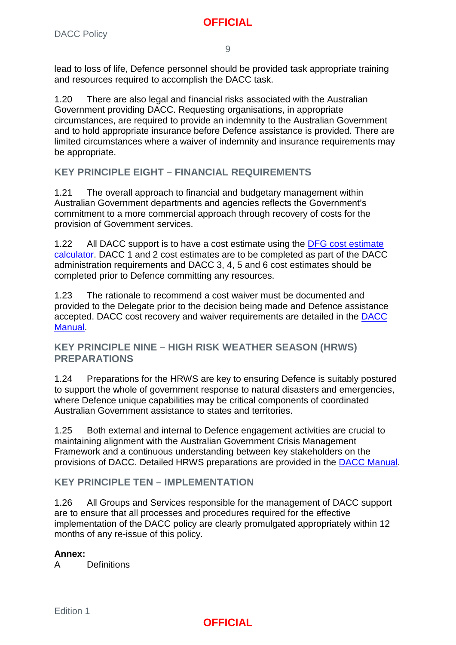9

lead to loss of life, Defence personnel should be provided task appropriate training and resources required to accomplish the DACC task.

1.20 There are also legal and financial risks associated with the Australian Government providing DACC. Requesting organisations, in appropriate circumstances, are required to provide an indemnity to the Australian Government and to hold appropriate insurance before Defence assistance is provided. There are limited circumstances where a waiver of indemnity and insurance requirements may be appropriate.

## **KEY PRINCIPLE EIGHT – FINANCIAL REQUIREMENTS**

1.21 The overall approach to financial and budgetary management within Australian Government departments and agencies reflects the Government's commitment to a more commercial approach through recovery of costs for the provision of Government services.

1.22 All DACC support is to have a cost estimate using the [DFG cost estimate](http://drnet/dfg/Services-Guidance/Pages/Default.aspx)  [calculator.](http://drnet/dfg/Services-Guidance/Pages/Default.aspx) DACC 1 and 2 cost estimates are to be completed as part of the DACC administration requirements and DACC 3, 4, 5 and 6 cost estimates should be completed prior to Defence committing any resources.

1.23 The rationale to recommend a cost waiver must be documented and provided to the Delegate prior to the decision being made and Defence assistance accepted. DACC cost recovery and waiver requirements are detailed in the [DACC](https://objective/id:BN20376121)  [Manual.](https://objective/id:BN20376121)

#### **KEY PRINCIPLE NINE – HIGH RISK WEATHER SEASON (HRWS) PREPARATIONS**

1.24 Preparations for the HRWS are key to ensuring Defence is suitably postured to support the whole of government response to natural disasters and emergencies, where Defence unique capabilities may be critical components of coordinated Australian Government assistance to states and territories.

1.25 Both external and internal to Defence engagement activities are crucial to maintaining alignment with the Australian Government Crisis Management Framework and a continuous understanding between key stakeholders on the provisions of DACC. Detailed HRWS preparations are provided in the [DACC Manual.](https://objective/id:BN20376121)

#### **KEY PRINCIPLE TEN – IMPLEMENTATION**

1.26 All Groups and Services responsible for the management of DACC support are to ensure that all processes and procedures required for the effective implementation of the DACC policy are clearly promulgated appropriately within 12 months of any re-issue of this policy.

#### **Annex:**

A [Definitions](#page-11-0)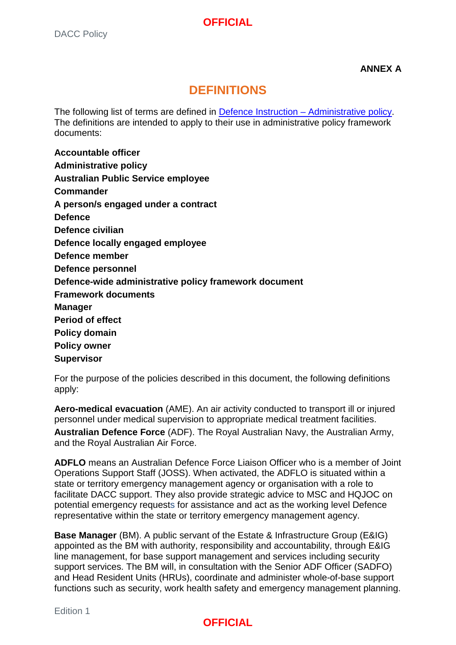**ANNEX A**

# **DEFINITIONS**

<span id="page-11-1"></span><span id="page-11-0"></span>The following list of terms are defined in [Defence Instruction –](http://defweb.cbr.defence.gov.au/home/documents/data/ADFPUBS/DIG/DI_Administrative_policy.pdf) Administrative policy. The definitions are intended to apply to their use in administrative policy framework documents:

**Accountable officer Administrative policy Australian Public Service employee Commander A person/s engaged under a contract Defence Defence civilian Defence locally engaged employee Defence member Defence personnel Defence-wide administrative policy framework document Framework documents Manager Period of effect Policy domain Policy owner Supervisor**

For the purpose of the policies described in this document, the following definitions apply:

**Aero-medical evacuation** (AME). An air activity conducted to transport ill or injured personnel under medical supervision to appropriate medical treatment facilities. **Australian Defence Force** (ADF). The Royal Australian Navy, the Australian Army, and the Royal Australian Air Force.

**ADFLO** means an Australian Defence Force Liaison Officer who is a member of Joint Operations Support Staff (JOSS). When activated, the ADFLO is situated within a state or territory emergency management agency or organisation with a role to facilitate DACC support. They also provide strategic advice to MSC and HQJOC on potential emergency requests for assistance and act as the working level Defence representative within the state or territory emergency management agency.

**Base Manager** (BM). A public servant of the Estate & Infrastructure Group (E&IG) appointed as the BM with authority, responsibility and accountability, through E&IG line management, for base support management and services including security support services. The BM will, in consultation with the Senior ADF Officer (SADFO) and Head Resident Units (HRUs), coordinate and administer whole-of-base support functions such as security, work health safety and emergency management planning.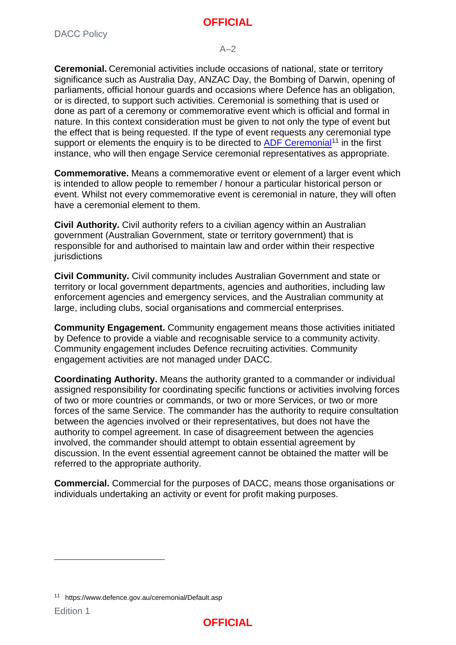#### $A-2$

**Ceremonial.** Ceremonial activities include occasions of national, state or territory significance such as Australia Day, ANZAC Day, the Bombing of Darwin, opening of parliaments, official honour guards and occasions where Defence has an obligation, or is directed, to support such activities. Ceremonial is something that is used or done as part of a ceremony or commemorative event which is official and formal in nature. In this context consideration must be given to not only the type of event but the effect that is being requested. If the type of event requests any ceremonial type support or elements the enquiry is to be directed to [ADF Ceremonial](https://www.defence.gov.au/ceremonial/Default.asp)<sup>[11](#page-12-0)</sup> in the first instance, who will then engage Service ceremonial representatives as appropriate.

**Commemorative.** Means a commemorative event or element of a larger event which is intended to allow people to remember / honour a particular historical person or event. Whilst not every commemorative event is ceremonial in nature, they will often have a ceremonial element to them.

**Civil Authority.** Civil authority refers to a civilian agency within an Australian government (Australian Government, state or territory government) that is responsible for and authorised to maintain law and order within their respective **jurisdictions** 

**Civil Community.** Civil community includes Australian Government and state or territory or local government departments, agencies and authorities, including law enforcement agencies and emergency services, and the Australian community at large, including clubs, social organisations and commercial enterprises.

**Community Engagement.** Community engagement means those activities initiated by Defence to provide a viable and recognisable service to a community activity. Community engagement includes Defence recruiting activities. Community engagement activities are not managed under DACC.

**Coordinating Authority.** Means the authority granted to a commander or individual assigned responsibility for coordinating specific functions or activities involving forces of two or more countries or commands, or two or more Services, or two or more forces of the same Service. The commander has the authority to require consultation between the agencies involved or their representatives, but does not have the authority to compel agreement. In case of disagreement between the agencies involved, the commander should attempt to obtain essential agreement by discussion. In the event essential agreement cannot be obtained the matter will be referred to the appropriate authority.

**Commercial.** Commercial for the purposes of DACC, means those organisations or individuals undertaking an activity or event for profit making purposes.



<span id="page-12-0"></span><sup>11</sup> https://www.defence.gov.au/ceremonial/Default.asp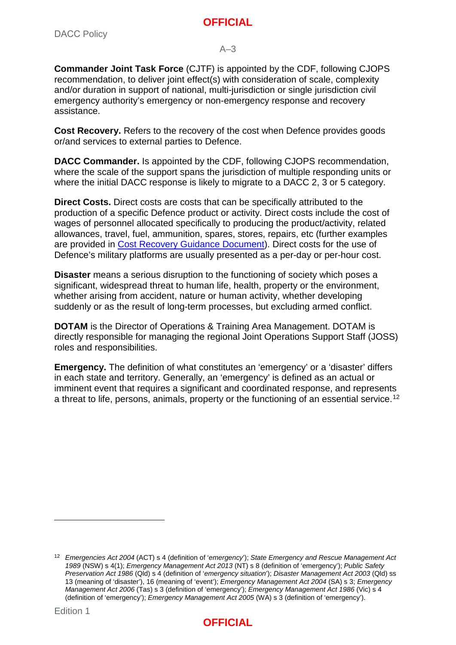#### $A-3$

**Commander Joint Task Force** (CJTF) is appointed by the CDF, following CJOPS recommendation, to deliver joint effect(s) with consideration of scale, complexity and/or duration in support of national, multi-jurisdiction or single jurisdiction civil emergency authority's emergency or non-emergency response and recovery assistance.

**Cost Recovery.** Refers to the recovery of the cost when Defence provides goods or/and services to external parties to Defence.

**DACC Commander.** Is appointed by the CDF, following CJOPS recommendation, where the scale of the support spans the jurisdiction of multiple responding units or where the initial DACC response is likely to migrate to a DACC 2, 3 or 5 category.

**Direct Costs.** Direct costs are costs that can be specifically attributed to the production of a specific Defence product or activity. Direct costs include the cost of wages of personnel allocated specifically to producing the product/activity, related allowances, travel, fuel, ammunition, spares, stores, repairs, etc (further examples are provided in [Cost Recovery Guidance Document\)](http://drnet/dfg/Services-Guidance/Pages/Default.aspx). Direct costs for the use of Defence's military platforms are usually presented as a per-day or per-hour cost.

**Disaster** means a serious disruption to the functioning of society which poses a significant, widespread threat to human life, health, property or the environment, whether arising from accident, nature or human activity, whether developing suddenly or as the result of long-term processes, but excluding armed conflict.

**DOTAM** is the Director of Operations & Training Area Management. DOTAM is directly responsible for managing the regional Joint Operations Support Staff (JOSS) roles and responsibilities.

**Emergency.** The definition of what constitutes an 'emergency' or a 'disaster' differs in each state and territory. Generally, an 'emergency' is defined as an actual or imminent event that requires a significant and coordinated response, and represents a threat to life, persons, animals, property or the functioning of an essential service.[12](#page-13-0)



<span id="page-13-0"></span><sup>12</sup> *Emergencies Act 2004* (ACT) s 4 (definition of '*emergency*'); *State Emergency and Rescue Management Act 1989* (NSW) s 4(1); *Emergency Management Act 2013* (NT) s 8 (definition of 'emergency'); *Public Safety Preservation Act 1986* (Qld) s 4 (definition of '*emergency situation*'); *Disaster Management Act 2003* (Qld) ss 13 (meaning of 'disaster'), 16 (meaning of 'event'); *Emergency Management Act 2004* (SA) s 3; *Emergency Management Act 2006* (Tas) s 3 (definition of 'emergency'); *Emergency Management Act 1986* (Vic) s 4 (definition of 'emergency'); *Emergency Management Act 2005* (WA) s 3 (definition of 'emergency').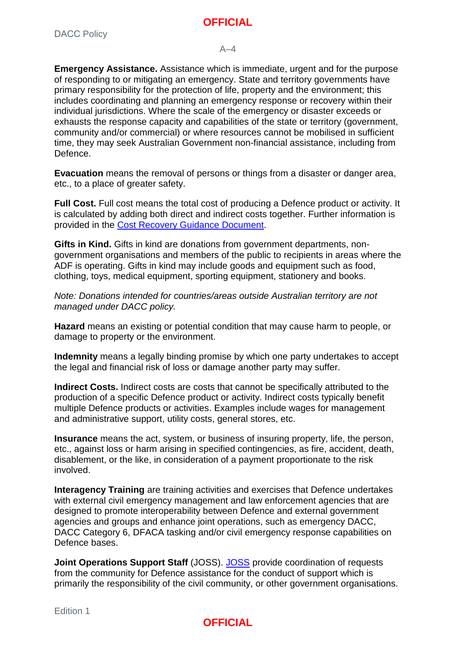#### $\Delta - A$

**Emergency Assistance.** Assistance which is immediate, urgent and for the purpose of responding to or mitigating an emergency. State and territory governments have primary responsibility for the protection of life, property and the environment; this includes coordinating and planning an emergency response or recovery within their individual jurisdictions. Where the scale of the emergency or disaster exceeds or exhausts the response capacity and capabilities of the state or territory (government, community and/or commercial) or where resources cannot be mobilised in sufficient time, they may seek Australian Government non-financial assistance, including from Defence.

**Evacuation** means the removal of persons or things from a disaster or danger area, etc., to a place of greater safety.

**Full Cost.** Full cost means the total cost of producing a Defence product or activity. It is calculated by adding both direct and indirect costs together. Further information is provided in the [Cost Recovery Guidance Document.](http://drnet/dfg/Services-Guidance/Pages/Default.aspx)

**Gifts in Kind.** Gifts in kind are donations from government departments, nongovernment organisations and members of the public to recipients in areas where the ADF is operating. Gifts in kind may include goods and equipment such as food, clothing, toys, medical equipment, sporting equipment, stationery and books.

*Note: Donations intended for countries/areas outside Australian territory are not managed under DACC policy.*

**Hazard** means an existing or potential condition that may cause harm to people, or damage to property or the environment.

**Indemnity** means a legally binding promise by which one party undertakes to accept the legal and financial risk of loss or damage another party may suffer.

**Indirect Costs.** Indirect costs are costs that cannot be specifically attributed to the production of a specific Defence product or activity. Indirect costs typically benefit multiple Defence products or activities. Examples include wages for management and administrative support, utility costs, general stores, etc.

**Insurance** means the act, system, or business of insuring property, life, the person, etc., against loss or harm arising in specified contingencies, as fire, accident, death, disablement, or the like, in consideration of a payment proportionate to the risk involved.

**Interagency Training** are training activities and exercises that Defence undertakes with external civil emergency management and law enforcement agencies that are designed to promote interoperability between Defence and external government agencies and groups and enhance joint operations, such as emergency DACC, DACC Category 6, DFACA tasking and/or civil emergency response capabilities on Defence bases.

**Joint Operations Support Staff** (JOSS). [JOSS](http://drnet.defence.gov.au/DSRG/JOSS/Pages/About%20JOSS.aspx) provide coordination of requests from the community for Defence assistance for the conduct of support which is primarily the responsibility of the civil community, or other government organisations.

#### Edition 1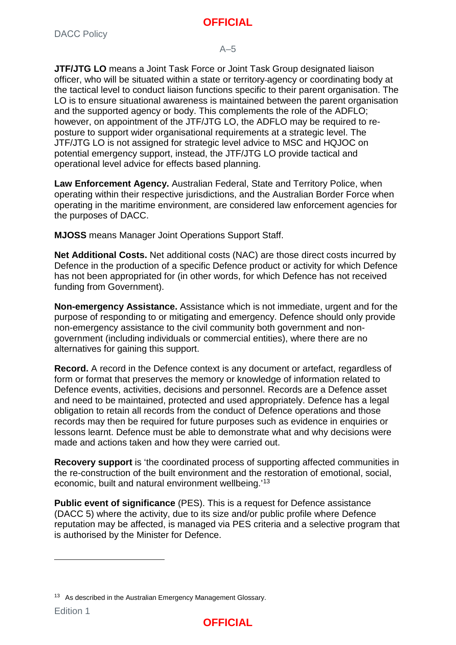#### $A-5$

**JTF/JTG LO** means a Joint Task Force or Joint Task Group designated liaison officer, who will be situated within a state or territory agency or coordinating body at the tactical level to conduct liaison functions specific to their parent organisation. The LO is to ensure situational awareness is maintained between the parent organisation and the supported agency or body. This complements the role of the ADFLO; however, on appointment of the JTF/JTG LO, the ADFLO may be required to reposture to support wider organisational requirements at a strategic level. The JTF/JTG LO is not assigned for strategic level advice to MSC and HQJOC on potential emergency support, instead, the JTF/JTG LO provide tactical and operational level advice for effects based planning.

**Law Enforcement Agency.** Australian Federal, State and Territory Police, when operating within their respective jurisdictions, and the Australian Border Force when operating in the maritime environment, are considered law enforcement agencies for the purposes of DACC.

**MJOSS** means Manager Joint Operations Support Staff.

**Net Additional Costs.** Net additional costs (NAC) are those direct costs incurred by Defence in the production of a specific Defence product or activity for which Defence has not been appropriated for (in other words, for which Defence has not received funding from Government).

**Non-emergency Assistance.** Assistance which is not immediate, urgent and for the purpose of responding to or mitigating and emergency. Defence should only provide non-emergency assistance to the civil community both government and nongovernment (including individuals or commercial entities), where there are no alternatives for gaining this support.

**Record.** A record in the Defence context is any document or artefact, regardless of form or format that preserves the memory or knowledge of information related to Defence events, activities, decisions and personnel. Records are a Defence asset and need to be maintained, protected and used appropriately. Defence has a legal obligation to retain all records from the conduct of Defence operations and those records may then be required for future purposes such as evidence in enquiries or lessons learnt. Defence must be able to demonstrate what and why decisions were made and actions taken and how they were carried out.

**Recovery support** is 'the coordinated process of supporting affected communities in the re-construction of the built environment and the restoration of emotional, social, economic, built and natural environment wellbeing.'[13](#page-15-0)

**Public event of significance** (PES). This is a request for Defence assistance (DACC 5) where the activity, due to its size and/or public profile where Defence reputation may be affected, is managed via PES criteria and a selective program that is authorised by the Minister for Defence.



<span id="page-15-0"></span><sup>&</sup>lt;sup>13</sup> As described in the Australian Emergency Management Glossary.